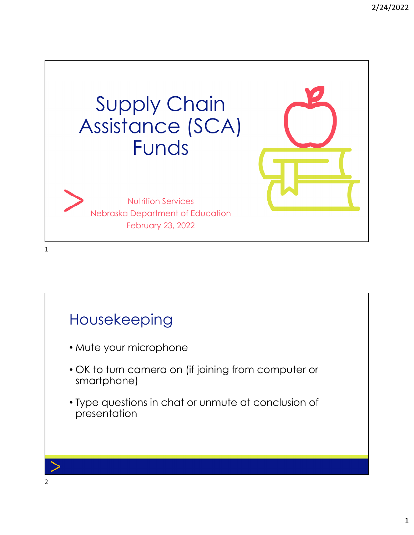

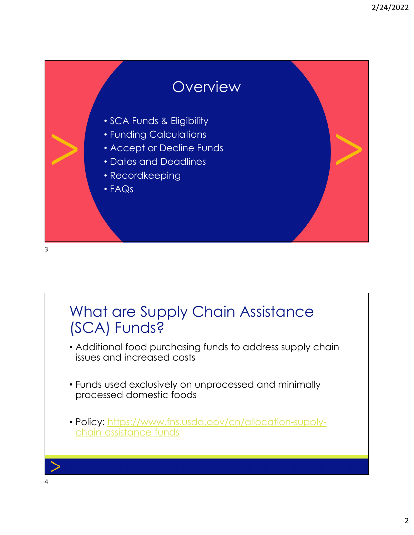

3

## What are Supply Chain Assistance (SCA) Funds?

- Additional food purchasing funds to address supply chain issues and increased costs
- Funds used exclusively on unprocessed and minimally processed domestic foods
- Policy: https://www.fns.usda.gov/cn/allocation-supplychain-assistance-funds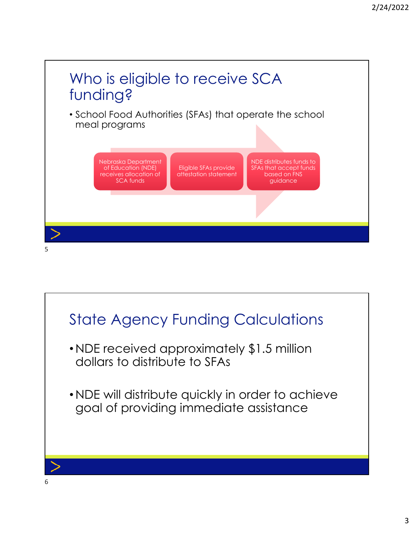

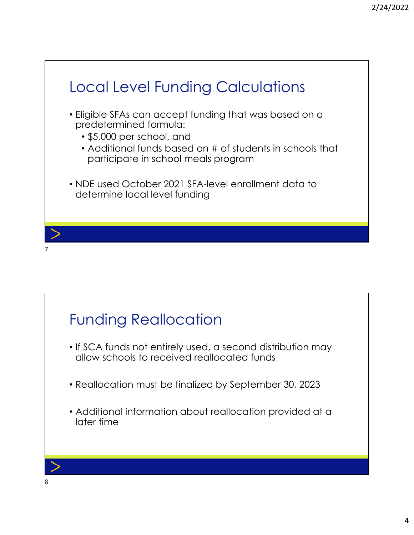

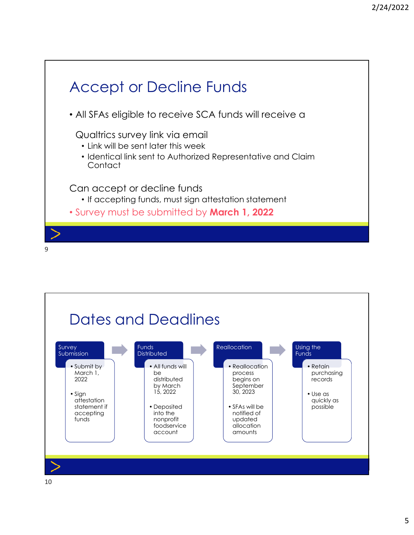

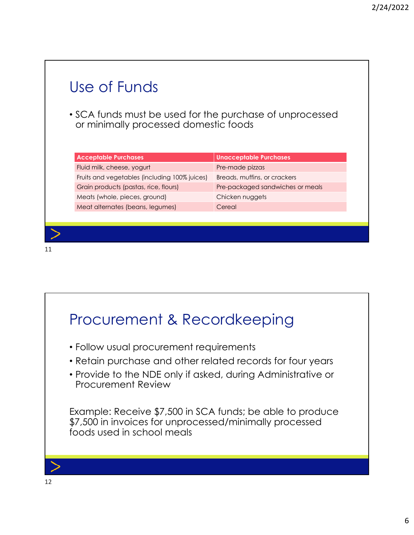| Use of Funds                                                                                      |                                  |  |
|---------------------------------------------------------------------------------------------------|----------------------------------|--|
| • SCA funds must be used for the purchase of unprocessed<br>or minimally processed domestic foods |                                  |  |
| <b>Acceptable Purchases</b>                                                                       | <b>Unacceptable Purchases</b>    |  |
| Fluid milk, cheese, yogurt                                                                        | Pre-made pizzas                  |  |
| Fruits and vegetables (including 100% juices)                                                     | Breads, muffins, or crackers     |  |
| Grain products (pastas, rice, flours)                                                             | Pre-packaged sandwiches or meals |  |
| Meats (whole, pieces, ground)                                                                     | Chicken nuggets                  |  |
| Meat alternates (beans, legumes)                                                                  | Cereal                           |  |
|                                                                                                   |                                  |  |
|                                                                                                   |                                  |  |
|                                                                                                   |                                  |  |



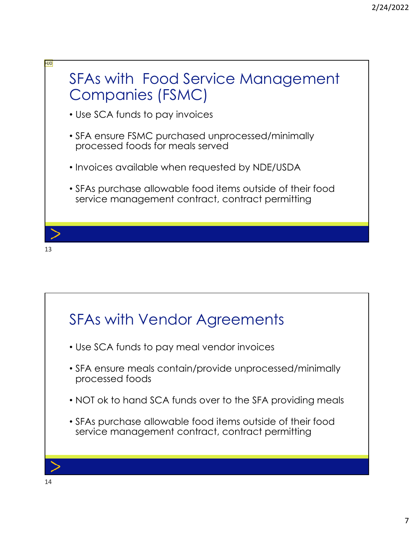

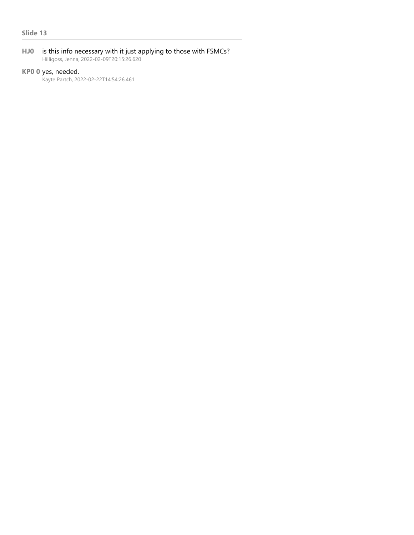**HJ0** is this info necessary with it just applying to those with FSMCs? Hilligoss, Jenna, 2022-02-09T20:15:26.620

### **KP0 0** yes, needed.

Kayte Partch, 2022-02-22T14:54:26.461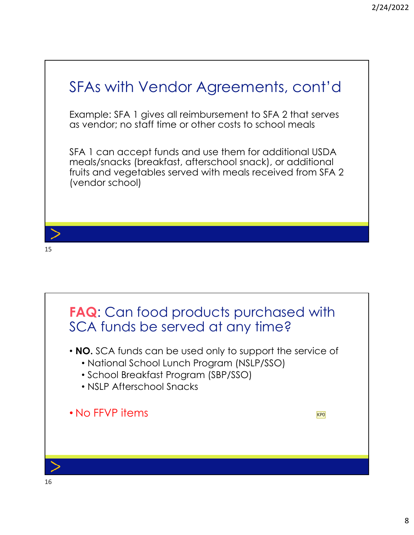# SFAs with Vendor Agreements, cont'd Example: SFA 1 gives all reimbursement to SFA 2 that serves as vendor; no staff time or other costs to school meals SFA 1 can accept funds and use them for additional USDA meals/snacks (breakfast, afterschool snack), or additional fruits and vegetables served with meals received from SFA 2 (vendor school) 15

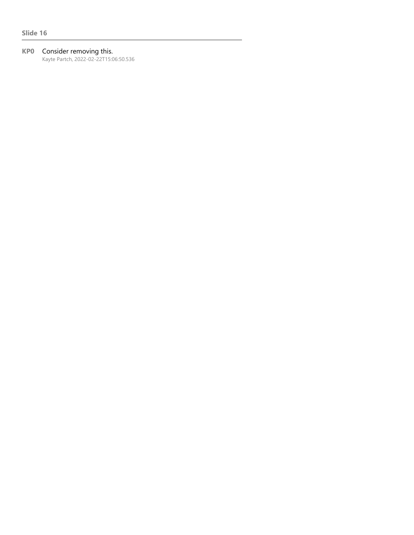#### **KP0** Consider removing this.

Kayte Partch, 2022-02-22T15:06:50.536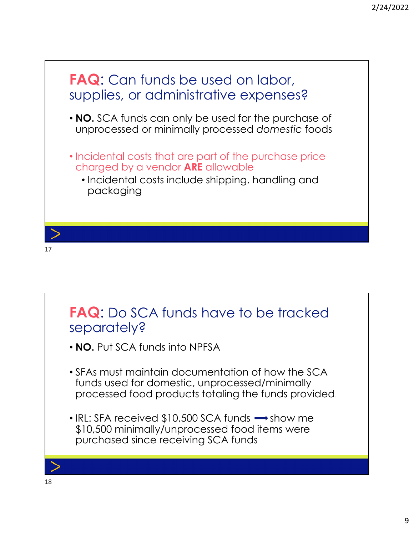

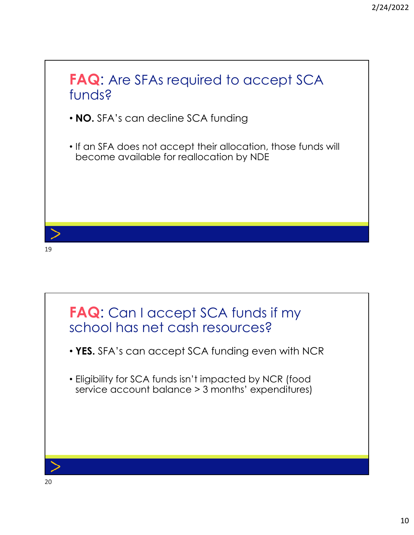## **FAQ**: Are SFAs required to accept SCA funds?

- **NO.** SFA's can decline SCA funding
- If an SFA does not accept their allocation, those funds will become available for reallocation by NDE



19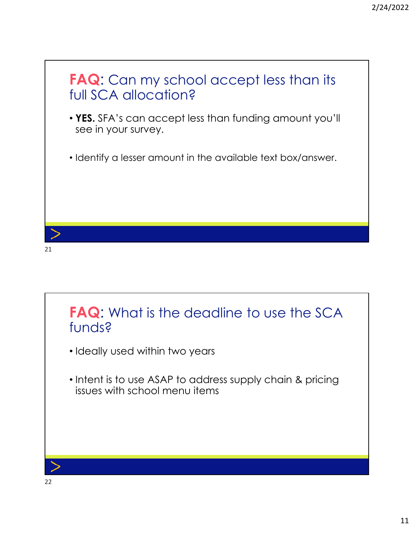



- Ideally used within two years
- Intent is to use ASAP to address supply chain & pricing issues with school menu items